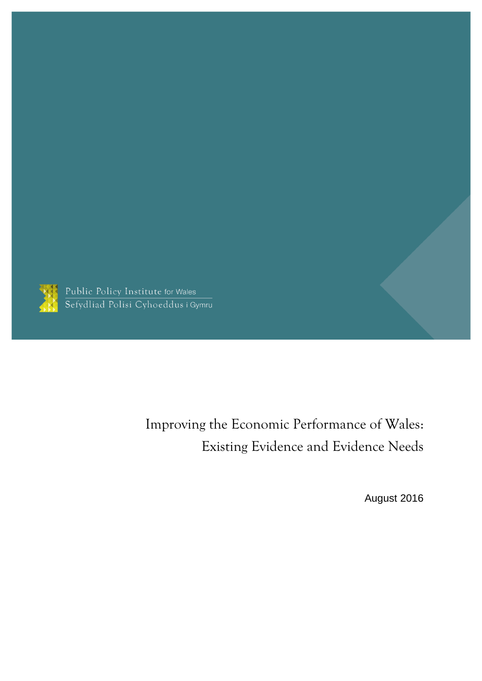

Public Policy Institute for Wales<br>Sefydliad Polisi Cyhoeddus i Gymru

Improving the Economic Performance of Wales: Existing Evidence and Evidence Needs

August 2016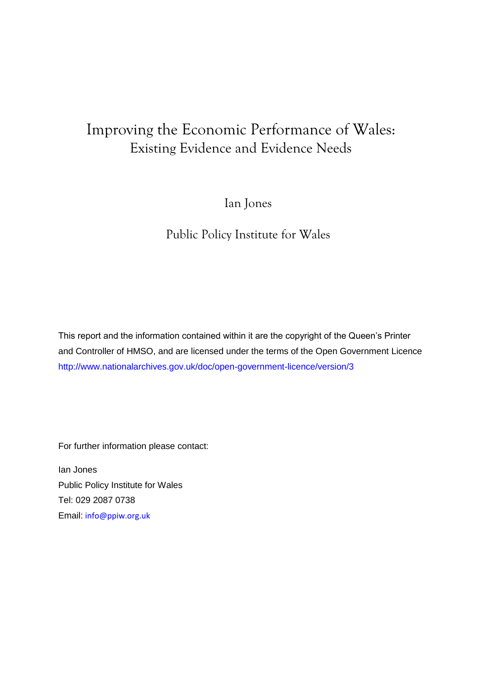## Improving the Economic Performance of Wales: Existing Evidence and Evidence Needs

Ian Jones

Public Policy Institute for Wales

This report and the information contained within it are the copyright of the Queen's Printer and Controller of HMSO, and are licensed under the terms of the Open Government Licence [http://www.nationalarchives.gov.uk/doc/open-government-licence/version/3](http://www.nationalarchives.gov.uk/doc/open-government-licence/version/2)

For further information please contact:

Ian Jones Public Policy Institute for Wales Tel: 029 2087 0738 Email: [info@ppiw.org.uk](mailto:info@ppiw.org.uk)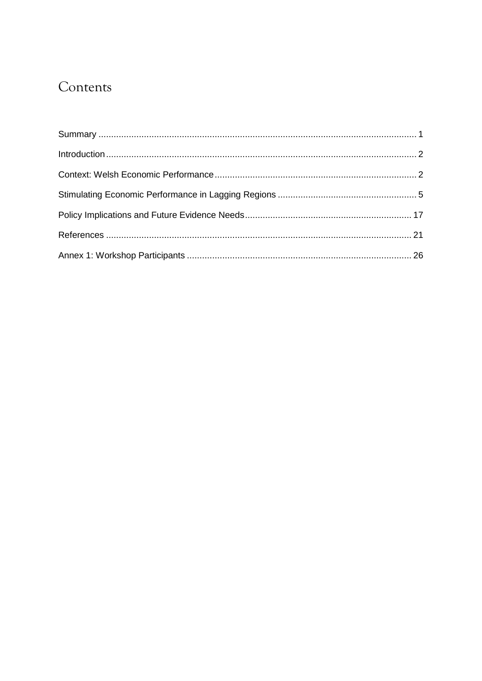## Contents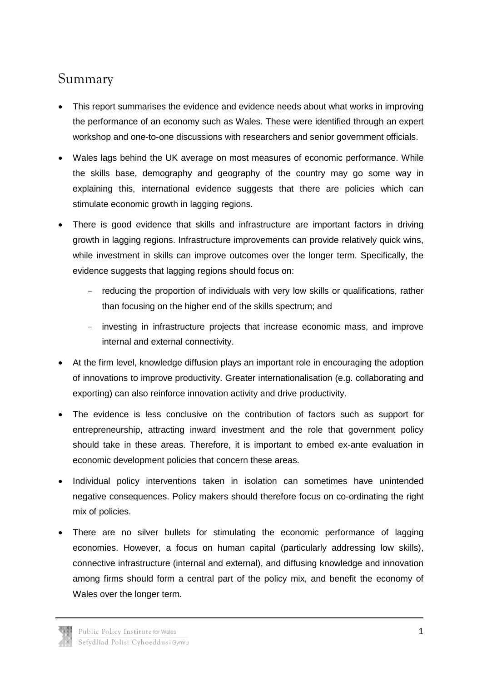### <span id="page-3-0"></span>Summary

- This report summarises the evidence and evidence needs about what works in improving the performance of an economy such as Wales. These were identified through an expert workshop and one-to-one discussions with researchers and senior government officials.
- Wales lags behind the UK average on most measures of economic performance. While the skills base, demography and geography of the country may go some way in explaining this, international evidence suggests that there are policies which can stimulate economic growth in lagging regions.
- There is good evidence that skills and infrastructure are important factors in driving growth in lagging regions. Infrastructure improvements can provide relatively quick wins, while investment in skills can improve outcomes over the longer term. Specifically, the evidence suggests that lagging regions should focus on:
	- reducing the proportion of individuals with very low skills or qualifications, rather than focusing on the higher end of the skills spectrum; and
	- investing in infrastructure projects that increase economic mass, and improve internal and external connectivity.
- At the firm level, knowledge diffusion plays an important role in encouraging the adoption of innovations to improve productivity. Greater internationalisation (e.g. collaborating and exporting) can also reinforce innovation activity and drive productivity.
- The evidence is less conclusive on the contribution of factors such as support for entrepreneurship, attracting inward investment and the role that government policy should take in these areas. Therefore, it is important to embed ex-ante evaluation in economic development policies that concern these areas.
- Individual policy interventions taken in isolation can sometimes have unintended negative consequences. Policy makers should therefore focus on co-ordinating the right mix of policies.
- There are no silver bullets for stimulating the economic performance of lagging economies. However, a focus on human capital (particularly addressing low skills), connective infrastructure (internal and external), and diffusing knowledge and innovation among firms should form a central part of the policy mix, and benefit the economy of Wales over the longer term.

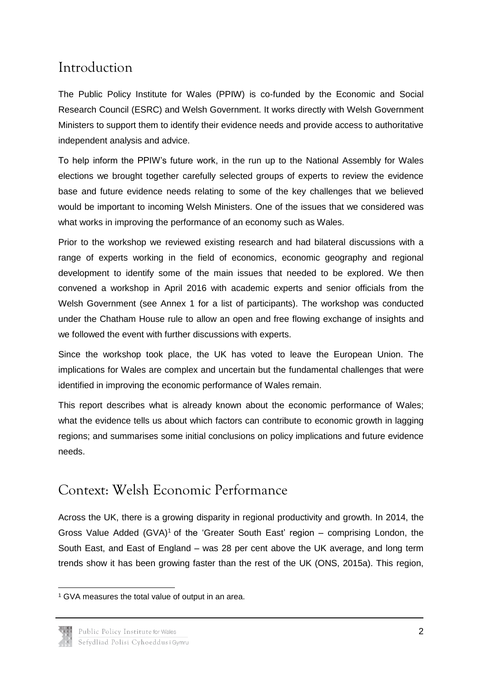### <span id="page-4-0"></span>Introduction

The Public Policy Institute for Wales (PPIW) is co-funded by the Economic and Social Research Council (ESRC) and Welsh Government. It works directly with Welsh Government Ministers to support them to identify their evidence needs and provide access to authoritative independent analysis and advice.

To help inform the PPIW's future work, in the run up to the National Assembly for Wales elections we brought together carefully selected groups of experts to review the evidence base and future evidence needs relating to some of the key challenges that we believed would be important to incoming Welsh Ministers. One of the issues that we considered was what works in improving the performance of an economy such as Wales.

Prior to the workshop we reviewed existing research and had bilateral discussions with a range of experts working in the field of economics, economic geography and regional development to identify some of the main issues that needed to be explored. We then convened a workshop in April 2016 with academic experts and senior officials from the Welsh Government (see Annex 1 for a list of participants). The workshop was conducted under the Chatham House rule to allow an open and free flowing exchange of insights and we followed the event with further discussions with experts.

Since the workshop took place, the UK has voted to leave the European Union. The implications for Wales are complex and uncertain but the fundamental challenges that were identified in improving the economic performance of Wales remain.

This report describes what is already known about the economic performance of Wales; what the evidence tells us about which factors can contribute to economic growth in lagging regions; and summarises some initial conclusions on policy implications and future evidence needs.

## <span id="page-4-1"></span>Context: Welsh Economic Performance

Across the UK, there is a growing disparity in regional productivity and growth. In 2014, the Gross Value Added (GVA)<sup>1</sup> of the 'Greater South East' region – comprising London, the South East, and East of England – was 28 per cent above the UK average, and long term trends show it has been growing faster than the rest of the UK (ONS, 2015a). This region,

**<sup>.</sup>** <sup>1</sup> GVA measures the total value of output in an area.

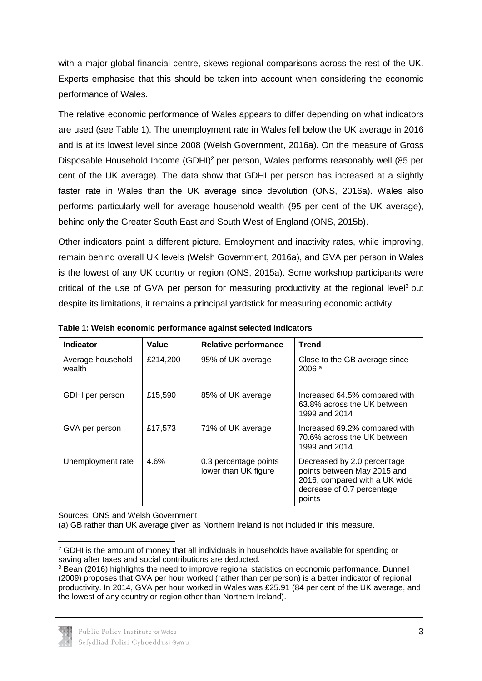with a major global financial centre, skews regional comparisons across the rest of the UK. Experts emphasise that this should be taken into account when considering the economic performance of Wales.

The relative economic performance of Wales appears to differ depending on what indicators are used (see Table 1). The unemployment rate in Wales fell below the UK average in 2016 and is at its lowest level since 2008 (Welsh Government, 2016a). On the measure of Gross Disposable Household Income (GDHI)<sup>2</sup> per person, Wales performs reasonably well (85 per cent of the UK average). The data show that GDHI per person has increased at a slightly faster rate in Wales than the UK average since devolution (ONS, 2016a). Wales also performs particularly well for average household wealth (95 per cent of the UK average), behind only the Greater South East and South West of England (ONS, 2015b).

Other indicators paint a different picture. Employment and inactivity rates, while improving, remain behind overall UK levels (Welsh Government, 2016a), and GVA per person in Wales is the lowest of any UK country or region (ONS, 2015a). Some workshop participants were critical of the use of GVA per person for measuring productivity at the regional level<sup>3</sup> but despite its limitations, it remains a principal yardstick for measuring economic activity.

| <b>Indicator</b>            | Value    | <b>Relative performance</b>                   | <b>Trend</b>                                                                                                                        |
|-----------------------------|----------|-----------------------------------------------|-------------------------------------------------------------------------------------------------------------------------------------|
| Average household<br>wealth | £214,200 | 95% of UK average                             | Close to the GB average since<br>2006a                                                                                              |
| GDHI per person             | £15,590  | 85% of UK average                             | Increased 64.5% compared with<br>63.8% across the UK between<br>1999 and 2014                                                       |
| GVA per person              | £17,573  | 71% of UK average                             | Increased 69.2% compared with<br>70.6% across the UK between<br>1999 and 2014                                                       |
| Unemployment rate           | 4.6%     | 0.3 percentage points<br>lower than UK figure | Decreased by 2.0 percentage<br>points between May 2015 and<br>2016, compared with a UK wide<br>decrease of 0.7 percentage<br>points |

**Table 1: Welsh economic performance against selected indicators**

Sources: ONS and Welsh Government

(a) GB rather than UK average given as Northern Ireland is not included in this measure.

<sup>3</sup> Bean (2016) highlights the need to improve regional statistics on economic performance. Dunnell (2009) proposes that GVA per hour worked (rather than per person) is a better indicator of regional productivity. In 2014, GVA per hour worked in Wales was £25.91 (84 per cent of the UK average, and the lowest of any country or region other than Northern Ireland).



**<sup>.</sup>** <sup>2</sup> GDHI is the amount of money that all individuals in households have available for spending or saving after taxes and social contributions are deducted.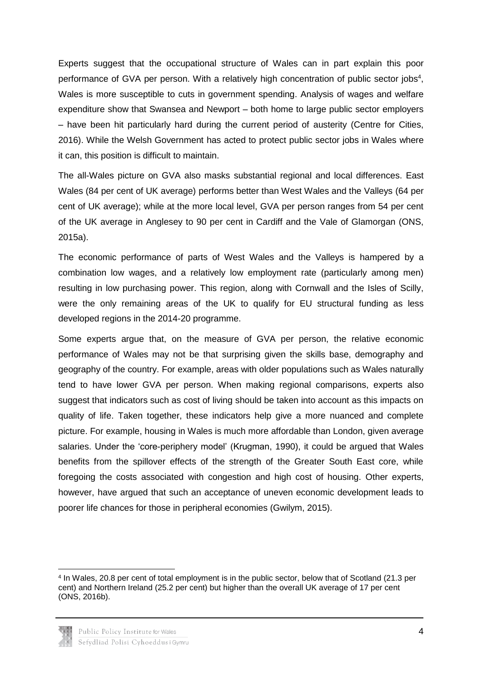Experts suggest that the occupational structure of Wales can in part explain this poor performance of GVA per person. With a relatively high concentration of public sector jobs<sup>4</sup>, Wales is more susceptible to cuts in government spending. Analysis of wages and welfare expenditure show that Swansea and Newport – both home to large public sector employers – have been hit particularly hard during the current period of austerity (Centre for Cities, 2016). While the Welsh Government has acted to protect public sector jobs in Wales where it can, this position is difficult to maintain.

The all-Wales picture on GVA also masks substantial regional and local differences. East Wales (84 per cent of UK average) performs better than West Wales and the Valleys (64 per cent of UK average); while at the more local level, GVA per person ranges from 54 per cent of the UK average in Anglesey to 90 per cent in Cardiff and the Vale of Glamorgan (ONS, 2015a).

The economic performance of parts of West Wales and the Valleys is hampered by a combination low wages, and a relatively low employment rate (particularly among men) resulting in low purchasing power. This region, along with Cornwall and the Isles of Scilly, were the only remaining areas of the UK to qualify for EU structural funding as less developed regions in the 2014-20 programme.

Some experts argue that, on the measure of GVA per person, the relative economic performance of Wales may not be that surprising given the skills base, demography and geography of the country. For example, areas with older populations such as Wales naturally tend to have lower GVA per person. When making regional comparisons, experts also suggest that indicators such as cost of living should be taken into account as this impacts on quality of life. Taken together, these indicators help give a more nuanced and complete picture. For example, housing in Wales is much more affordable than London, given average salaries. Under the 'core-periphery model' (Krugman, 1990), it could be argued that Wales benefits from the spillover effects of the strength of the Greater South East core, while foregoing the costs associated with congestion and high cost of housing. Other experts, however, have argued that such an acceptance of uneven economic development leads to poorer life chances for those in peripheral economies (Gwilym, 2015).

**<sup>.</sup>** 4 In Wales, 20.8 per cent of total employment is in the public sector, below that of Scotland (21.3 per cent) and Northern Ireland (25.2 per cent) but higher than the overall UK average of 17 per cent (ONS, 2016b).

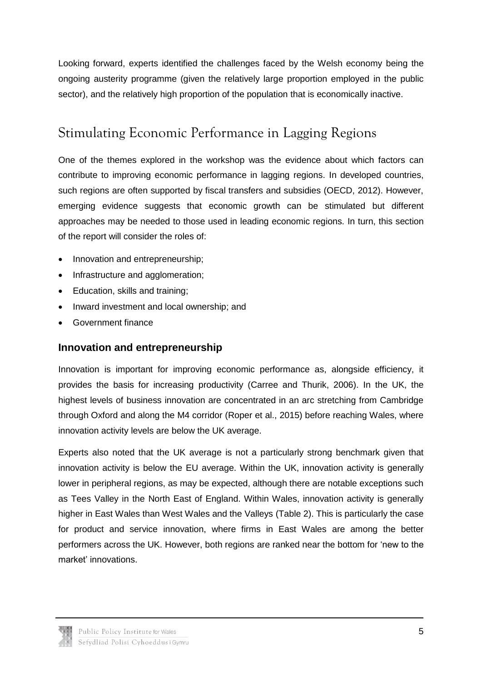Looking forward, experts identified the challenges faced by the Welsh economy being the ongoing austerity programme (given the relatively large proportion employed in the public sector), and the relatively high proportion of the population that is economically inactive.

## <span id="page-7-0"></span>Stimulating Economic Performance in Lagging Regions

One of the themes explored in the workshop was the evidence about which factors can contribute to improving economic performance in lagging regions. In developed countries, such regions are often supported by fiscal transfers and subsidies (OECD, 2012). However, emerging evidence suggests that economic growth can be stimulated but different approaches may be needed to those used in leading economic regions. In turn, this section of the report will consider the roles of:

- Innovation and entrepreneurship;
- Infrastructure and agglomeration;
- Education, skills and training;
- Inward investment and local ownership: and
- Government finance

### **Innovation and entrepreneurship**

Innovation is important for improving economic performance as, alongside efficiency, it provides the basis for increasing productivity (Carree and Thurik, 2006). In the UK, the highest levels of business innovation are concentrated in an arc stretching from Cambridge through Oxford and along the M4 corridor (Roper et al., 2015) before reaching Wales, where innovation activity levels are below the UK average.

Experts also noted that the UK average is not a particularly strong benchmark given that innovation activity is below the EU average. Within the UK, innovation activity is generally lower in peripheral regions, as may be expected, although there are notable exceptions such as Tees Valley in the North East of England. Within Wales, innovation activity is generally higher in East Wales than West Wales and the Valleys (Table 2). This is particularly the case for product and service innovation, where firms in East Wales are among the better performers across the UK. However, both regions are ranked near the bottom for 'new to the market' innovations.

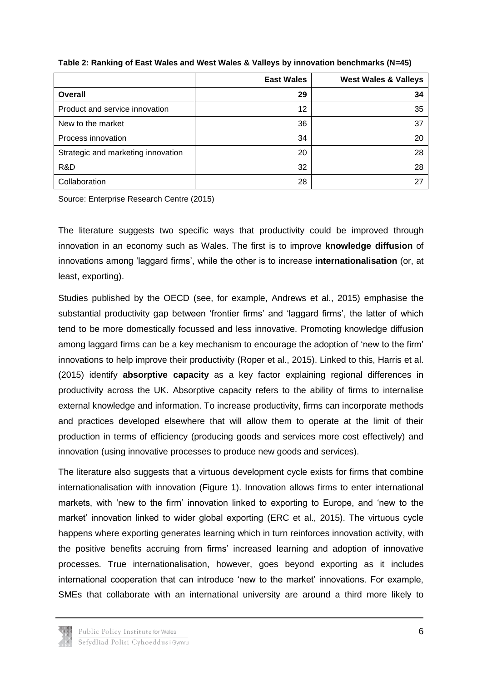|                                    | <b>East Wales</b> | <b>West Wales &amp; Valleys</b> |
|------------------------------------|-------------------|---------------------------------|
| <b>Overall</b>                     | 29                | 34                              |
| Product and service innovation     | 12                | 35                              |
| New to the market                  | 36                | 37                              |
| Process innovation                 | 34                | 20                              |
| Strategic and marketing innovation | 20                | 28                              |
| R&D                                | 32                | 28                              |
| Collaboration                      | 28                | 27                              |

**Table 2: Ranking of East Wales and West Wales & Valleys by innovation benchmarks (N=45)**

Source: Enterprise Research Centre (2015)

The literature suggests two specific ways that productivity could be improved through innovation in an economy such as Wales. The first is to improve **knowledge diffusion** of innovations among 'laggard firms', while the other is to increase **internationalisation** (or, at least, exporting).

Studies published by the OECD (see, for example, Andrews et al., 2015) emphasise the substantial productivity gap between 'frontier firms' and 'laggard firms', the latter of which tend to be more domestically focussed and less innovative. Promoting knowledge diffusion among laggard firms can be a key mechanism to encourage the adoption of 'new to the firm' innovations to help improve their productivity (Roper et al., 2015). Linked to this, Harris et al. (2015) identify **absorptive capacity** as a key factor explaining regional differences in productivity across the UK. Absorptive capacity refers to the ability of firms to internalise external knowledge and information. To increase productivity, firms can incorporate methods and practices developed elsewhere that will allow them to operate at the limit of their production in terms of efficiency (producing goods and services more cost effectively) and innovation (using innovative processes to produce new goods and services).

The literature also suggests that a virtuous development cycle exists for firms that combine internationalisation with innovation (Figure 1). Innovation allows firms to enter international markets, with 'new to the firm' innovation linked to exporting to Europe, and 'new to the market' innovation linked to wider global exporting (ERC et al., 2015). The virtuous cycle happens where exporting generates learning which in turn reinforces innovation activity, with the positive benefits accruing from firms' increased learning and adoption of innovative processes. True internationalisation, however, goes beyond exporting as it includes international cooperation that can introduce 'new to the market' innovations. For example, SMEs that collaborate with an international university are around a third more likely to

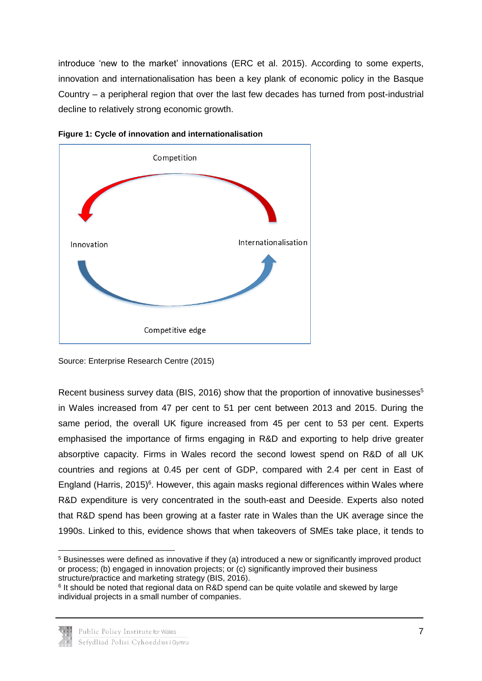introduce 'new to the market' innovations (ERC et al. 2015). According to some experts, innovation and internationalisation has been a key plank of economic policy in the Basque Country – a peripheral region that over the last few decades has turned from post-industrial decline to relatively strong economic growth.





Recent business survey data (BIS, 2016) show that the proportion of innovative businesses<sup>5</sup> in Wales increased from 47 per cent to 51 per cent between 2013 and 2015. During the same period, the overall UK figure increased from 45 per cent to 53 per cent. Experts emphasised the importance of firms engaging in R&D and exporting to help drive greater absorptive capacity. Firms in Wales record the second lowest spend on R&D of all UK countries and regions at 0.45 per cent of GDP, compared with 2.4 per cent in East of England (Harris, 2015)<sup>6</sup>. However, this again masks regional differences within Wales where R&D expenditure is very concentrated in the south-east and Deeside. Experts also noted that R&D spend has been growing at a faster rate in Wales than the UK average since the 1990s. Linked to this, evidence shows that when takeovers of SMEs take place, it tends to

<sup>&</sup>lt;sup>6</sup> It should be noted that regional data on R&D spend can be quite volatile and skewed by large individual projects in a small number of companies.



Source: Enterprise Research Centre (2015)

<sup>1</sup> <sup>5</sup> Businesses were defined as innovative if they (a) introduced a new or significantly improved product or process; (b) engaged in innovation projects; or (c) significantly improved their business structure/practice and marketing strategy (BIS, 2016).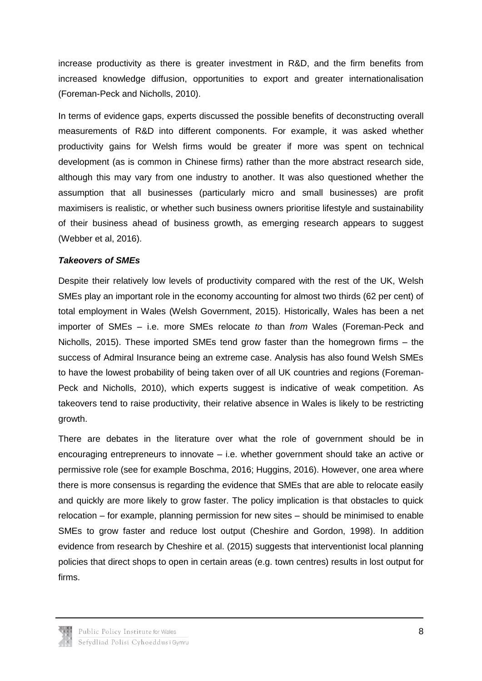increase productivity as there is greater investment in R&D, and the firm benefits from increased knowledge diffusion, opportunities to export and greater internationalisation (Foreman-Peck and Nicholls, 2010).

In terms of evidence gaps, experts discussed the possible benefits of deconstructing overall measurements of R&D into different components. For example, it was asked whether productivity gains for Welsh firms would be greater if more was spent on technical development (as is common in Chinese firms) rather than the more abstract research side, although this may vary from one industry to another. It was also questioned whether the assumption that all businesses (particularly micro and small businesses) are profit maximisers is realistic, or whether such business owners prioritise lifestyle and sustainability of their business ahead of business growth, as emerging research appears to suggest (Webber et al, 2016).

#### *Takeovers of SMEs*

Despite their relatively low levels of productivity compared with the rest of the UK, Welsh SMEs play an important role in the economy accounting for almost two thirds (62 per cent) of total employment in Wales (Welsh Government, 2015). Historically, Wales has been a net importer of SMEs – i.e. more SMEs relocate *to* than *from* Wales (Foreman-Peck and Nicholls, 2015). These imported SMEs tend grow faster than the homegrown firms – the success of Admiral Insurance being an extreme case. Analysis has also found Welsh SMEs to have the lowest probability of being taken over of all UK countries and regions (Foreman-Peck and Nicholls, 2010), which experts suggest is indicative of weak competition. As takeovers tend to raise productivity, their relative absence in Wales is likely to be restricting growth.

There are debates in the literature over what the role of government should be in encouraging entrepreneurs to innovate – i.e. whether government should take an active or permissive role (see for example Boschma, 2016; Huggins, 2016). However, one area where there is more consensus is regarding the evidence that SMEs that are able to relocate easily and quickly are more likely to grow faster. The policy implication is that obstacles to quick relocation – for example, planning permission for new sites – should be minimised to enable SMEs to grow faster and reduce lost output (Cheshire and Gordon, 1998). In addition evidence from research by Cheshire et al. (2015) suggests that interventionist local planning policies that direct shops to open in certain areas (e.g. town centres) results in lost output for firms.

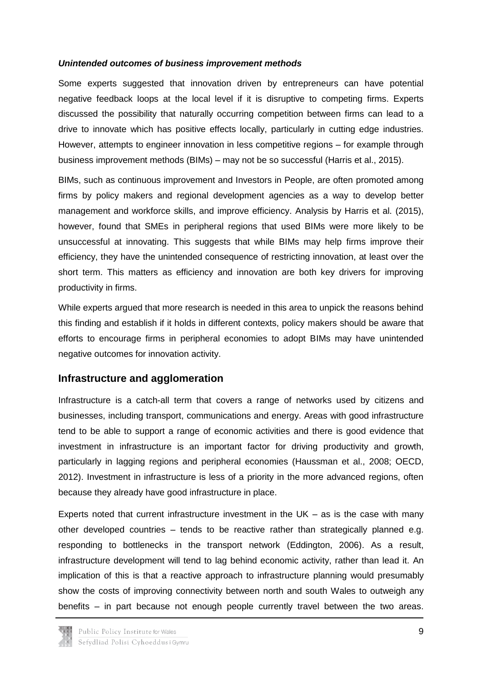#### *Unintended outcomes of business improvement methods*

Some experts suggested that innovation driven by entrepreneurs can have potential negative feedback loops at the local level if it is disruptive to competing firms. Experts discussed the possibility that naturally occurring competition between firms can lead to a drive to innovate which has positive effects locally, particularly in cutting edge industries. However, attempts to engineer innovation in less competitive regions – for example through business improvement methods (BIMs) – may not be so successful (Harris et al., 2015).

BIMs, such as continuous improvement and Investors in People, are often promoted among firms by policy makers and regional development agencies as a way to develop better management and workforce skills, and improve efficiency. Analysis by Harris et al. (2015), however, found that SMEs in peripheral regions that used BIMs were more likely to be unsuccessful at innovating. This suggests that while BIMs may help firms improve their efficiency, they have the unintended consequence of restricting innovation, at least over the short term. This matters as efficiency and innovation are both key drivers for improving productivity in firms.

While experts argued that more research is needed in this area to unpick the reasons behind this finding and establish if it holds in different contexts, policy makers should be aware that efforts to encourage firms in peripheral economies to adopt BIMs may have unintended negative outcomes for innovation activity.

### **Infrastructure and agglomeration**

Infrastructure is a catch-all term that covers a range of networks used by citizens and businesses, including transport, communications and energy. Areas with good infrastructure tend to be able to support a range of economic activities and there is good evidence that investment in infrastructure is an important factor for driving productivity and growth, particularly in lagging regions and peripheral economies (Haussman et al., 2008; OECD, 2012). Investment in infrastructure is less of a priority in the more advanced regions, often because they already have good infrastructure in place.

Experts noted that current infrastructure investment in the  $UK - as$  is the case with many other developed countries – tends to be reactive rather than strategically planned e.g. responding to bottlenecks in the transport network (Eddington, 2006). As a result, infrastructure development will tend to lag behind economic activity, rather than lead it. An implication of this is that a reactive approach to infrastructure planning would presumably show the costs of improving connectivity between north and south Wales to outweigh any benefits – in part because not enough people currently travel between the two areas.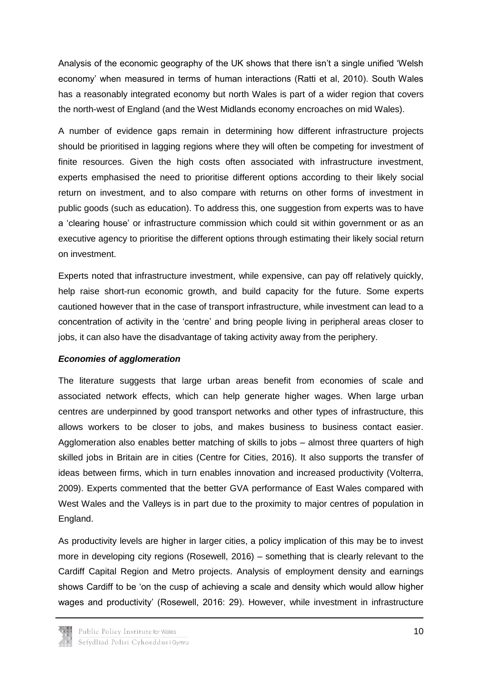Analysis of the economic geography of the UK shows that there isn't a single unified 'Welsh economy' when measured in terms of human interactions (Ratti et al, 2010). South Wales has a reasonably integrated economy but north Wales is part of a wider region that covers the north-west of England (and the West Midlands economy encroaches on mid Wales).

A number of evidence gaps remain in determining how different infrastructure projects should be prioritised in lagging regions where they will often be competing for investment of finite resources. Given the high costs often associated with infrastructure investment, experts emphasised the need to prioritise different options according to their likely social return on investment, and to also compare with returns on other forms of investment in public goods (such as education). To address this, one suggestion from experts was to have a 'clearing house' or infrastructure commission which could sit within government or as an executive agency to prioritise the different options through estimating their likely social return on investment.

Experts noted that infrastructure investment, while expensive, can pay off relatively quickly, help raise short-run economic growth, and build capacity for the future. Some experts cautioned however that in the case of transport infrastructure, while investment can lead to a concentration of activity in the 'centre' and bring people living in peripheral areas closer to jobs, it can also have the disadvantage of taking activity away from the periphery.

#### *Economies of agglomeration*

The literature suggests that large urban areas benefit from economies of scale and associated network effects, which can help generate higher wages. When large urban centres are underpinned by good transport networks and other types of infrastructure, this allows workers to be closer to jobs, and makes business to business contact easier. Agglomeration also enables better matching of skills to jobs – almost three quarters of high skilled jobs in Britain are in cities (Centre for Cities, 2016). It also supports the transfer of ideas between firms, which in turn enables innovation and increased productivity (Volterra, 2009). Experts commented that the better GVA performance of East Wales compared with West Wales and the Valleys is in part due to the proximity to major centres of population in England.

As productivity levels are higher in larger cities, a policy implication of this may be to invest more in developing city regions (Rosewell, 2016) – something that is clearly relevant to the Cardiff Capital Region and Metro projects. Analysis of employment density and earnings shows Cardiff to be 'on the cusp of achieving a scale and density which would allow higher wages and productivity' (Rosewell, 2016: 29). However, while investment in infrastructure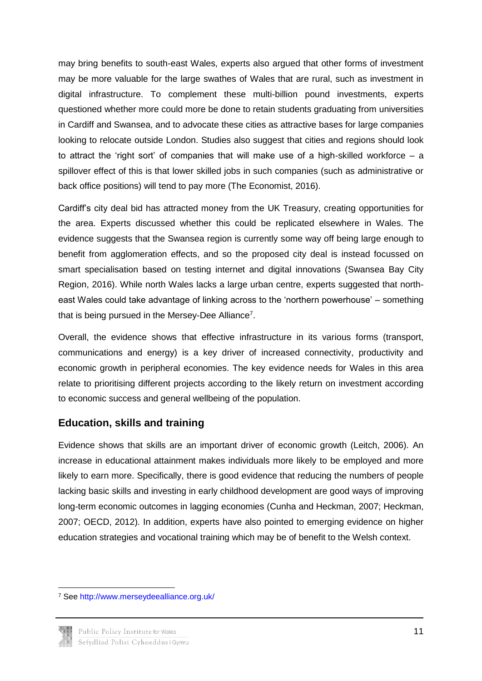may bring benefits to south-east Wales, experts also argued that other forms of investment may be more valuable for the large swathes of Wales that are rural, such as investment in digital infrastructure. To complement these multi-billion pound investments, experts questioned whether more could more be done to retain students graduating from universities in Cardiff and Swansea, and to advocate these cities as attractive bases for large companies looking to relocate outside London. Studies also suggest that cities and regions should look to attract the 'right sort' of companies that will make use of a high-skilled workforce  $-$  a spillover effect of this is that lower skilled jobs in such companies (such as administrative or back office positions) will tend to pay more (The Economist, 2016).

Cardiff's city deal bid has attracted money from the UK Treasury, creating opportunities for the area. Experts discussed whether this could be replicated elsewhere in Wales. The evidence suggests that the Swansea region is currently some way off being large enough to benefit from agglomeration effects, and so the proposed city deal is instead focussed on smart specialisation based on testing internet and digital innovations (Swansea Bay City Region, 2016). While north Wales lacks a large urban centre, experts suggested that northeast Wales could take advantage of linking across to the 'northern powerhouse' – something that is being pursued in the Mersey-Dee Alliance<sup>7</sup>.

Overall, the evidence shows that effective infrastructure in its various forms (transport, communications and energy) is a key driver of increased connectivity, productivity and economic growth in peripheral economies. The key evidence needs for Wales in this area relate to prioritising different projects according to the likely return on investment according to economic success and general wellbeing of the population.

### **Education, skills and training**

Evidence shows that skills are an important driver of economic growth (Leitch, 2006). An increase in educational attainment makes individuals more likely to be employed and more likely to earn more. Specifically, there is good evidence that reducing the numbers of people lacking basic skills and investing in early childhood development are good ways of improving long-term economic outcomes in lagging economies (Cunha and Heckman, 2007; Heckman, 2007; OECD, 2012). In addition, experts have also pointed to emerging evidence on higher education strategies and vocational training which may be of benefit to the Welsh context.

<sup>7</sup> See<http://www.merseydeealliance.org.uk/>



**.**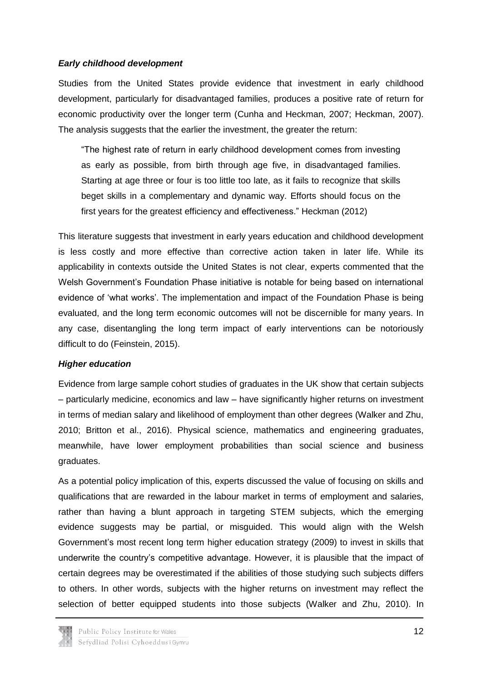#### *Early childhood development*

Studies from the United States provide evidence that investment in early childhood development, particularly for disadvantaged families, produces a positive rate of return for economic productivity over the longer term (Cunha and Heckman, 2007; Heckman, 2007). The analysis suggests that the earlier the investment, the greater the return:

"The highest rate of return in early childhood development comes from investing as early as possible, from birth through age five, in disadvantaged families. Starting at age three or four is too little too late, as it fails to recognize that skills beget skills in a complementary and dynamic way. Efforts should focus on the first years for the greatest efficiency and effectiveness." Heckman (2012)

This literature suggests that investment in early years education and childhood development is less costly and more effective than corrective action taken in later life. While its applicability in contexts outside the United States is not clear, experts commented that the Welsh Government's Foundation Phase initiative is notable for being based on international evidence of 'what works'. The implementation and impact of the Foundation Phase is being evaluated, and the long term economic outcomes will not be discernible for many years. In any case, disentangling the long term impact of early interventions can be notoriously difficult to do (Feinstein, 2015).

#### *Higher education*

Evidence from large sample cohort studies of graduates in the UK show that certain subjects – particularly medicine, economics and law – have significantly higher returns on investment in terms of median salary and likelihood of employment than other degrees (Walker and Zhu, 2010; Britton et al., 2016). Physical science, mathematics and engineering graduates, meanwhile, have lower employment probabilities than social science and business graduates.

As a potential policy implication of this, experts discussed the value of focusing on skills and qualifications that are rewarded in the labour market in terms of employment and salaries, rather than having a blunt approach in targeting STEM subjects, which the emerging evidence suggests may be partial, or misguided. This would align with the Welsh Government's most recent long term higher education strategy (2009) to invest in skills that underwrite the country's competitive advantage. However, it is plausible that the impact of certain degrees may be overestimated if the abilities of those studying such subjects differs to others. In other words, subjects with the higher returns on investment may reflect the selection of better equipped students into those subjects (Walker and Zhu, 2010). In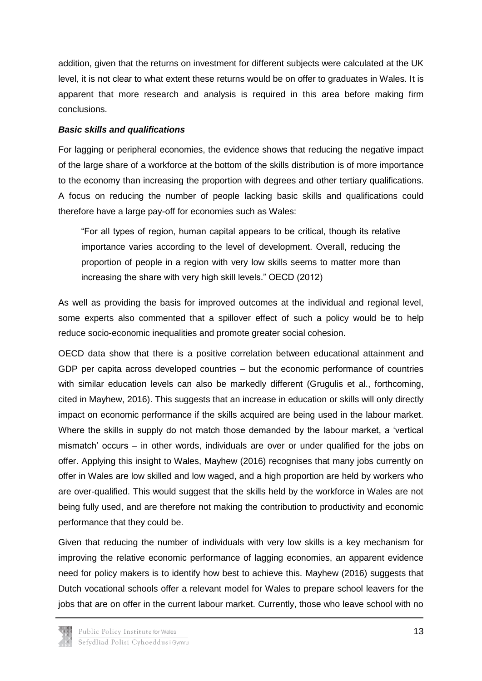addition, given that the returns on investment for different subjects were calculated at the UK level, it is not clear to what extent these returns would be on offer to graduates in Wales. It is apparent that more research and analysis is required in this area before making firm conclusions.

#### *Basic skills and qualifications*

For lagging or peripheral economies, the evidence shows that reducing the negative impact of the large share of a workforce at the bottom of the skills distribution is of more importance to the economy than increasing the proportion with degrees and other tertiary qualifications. A focus on reducing the number of people lacking basic skills and qualifications could therefore have a large pay-off for economies such as Wales:

"For all types of region, human capital appears to be critical, though its relative importance varies according to the level of development. Overall, reducing the proportion of people in a region with very low skills seems to matter more than increasing the share with very high skill levels." OECD (2012)

As well as providing the basis for improved outcomes at the individual and regional level, some experts also commented that a spillover effect of such a policy would be to help reduce socio-economic inequalities and promote greater social cohesion.

OECD data show that there is a positive correlation between educational attainment and GDP per capita across developed countries – but the economic performance of countries with similar education levels can also be markedly different (Grugulis et al., forthcoming, cited in Mayhew, 2016). This suggests that an increase in education or skills will only directly impact on economic performance if the skills acquired are being used in the labour market. Where the skills in supply do not match those demanded by the labour market, a 'vertical mismatch' occurs – in other words, individuals are over or under qualified for the jobs on offer. Applying this insight to Wales, Mayhew (2016) recognises that many jobs currently on offer in Wales are low skilled and low waged, and a high proportion are held by workers who are over-qualified. This would suggest that the skills held by the workforce in Wales are not being fully used, and are therefore not making the contribution to productivity and economic performance that they could be.

Given that reducing the number of individuals with very low skills is a key mechanism for improving the relative economic performance of lagging economies, an apparent evidence need for policy makers is to identify how best to achieve this. Mayhew (2016) suggests that Dutch vocational schools offer a relevant model for Wales to prepare school leavers for the jobs that are on offer in the current labour market. Currently, those who leave school with no

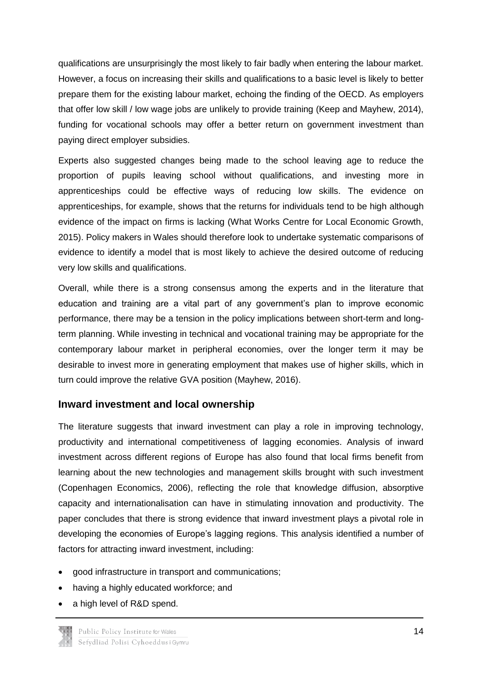qualifications are unsurprisingly the most likely to fair badly when entering the labour market. However, a focus on increasing their skills and qualifications to a basic level is likely to better prepare them for the existing labour market, echoing the finding of the OECD. As employers that offer low skill / low wage jobs are unlikely to provide training (Keep and Mayhew, 2014), funding for vocational schools may offer a better return on government investment than paying direct employer subsidies.

Experts also suggested changes being made to the school leaving age to reduce the proportion of pupils leaving school without qualifications, and investing more in apprenticeships could be effective ways of reducing low skills. The evidence on apprenticeships, for example, shows that the returns for individuals tend to be high although evidence of the impact on firms is lacking (What Works Centre for Local Economic Growth, 2015). Policy makers in Wales should therefore look to undertake systematic comparisons of evidence to identify a model that is most likely to achieve the desired outcome of reducing very low skills and qualifications.

Overall, while there is a strong consensus among the experts and in the literature that education and training are a vital part of any government's plan to improve economic performance, there may be a tension in the policy implications between short-term and longterm planning. While investing in technical and vocational training may be appropriate for the contemporary labour market in peripheral economies, over the longer term it may be desirable to invest more in generating employment that makes use of higher skills, which in turn could improve the relative GVA position (Mayhew, 2016).

### **Inward investment and local ownership**

The literature suggests that inward investment can play a role in improving technology, productivity and international competitiveness of lagging economies. Analysis of inward investment across different regions of Europe has also found that local firms benefit from learning about the new technologies and management skills brought with such investment (Copenhagen Economics, 2006), reflecting the role that knowledge diffusion, absorptive capacity and internationalisation can have in stimulating innovation and productivity. The paper concludes that there is strong evidence that inward investment plays a pivotal role in developing the economies of Europe's lagging regions. This analysis identified a number of factors for attracting inward investment, including:

- good infrastructure in transport and communications;
- having a highly educated workforce; and
- a high level of R&D spend.

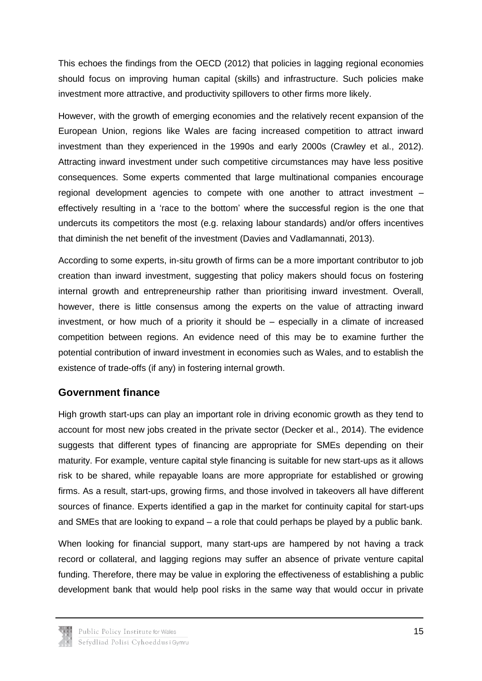This echoes the findings from the OECD (2012) that policies in lagging regional economies should focus on improving human capital (skills) and infrastructure. Such policies make investment more attractive, and productivity spillovers to other firms more likely.

However, with the growth of emerging economies and the relatively recent expansion of the European Union, regions like Wales are facing increased competition to attract inward investment than they experienced in the 1990s and early 2000s (Crawley et al., 2012). Attracting inward investment under such competitive circumstances may have less positive consequences. Some experts commented that large multinational companies encourage regional development agencies to compete with one another to attract investment – effectively resulting in a 'race to the bottom' where the successful region is the one that undercuts its competitors the most (e.g. relaxing labour standards) and/or offers incentives that diminish the net benefit of the investment (Davies and Vadlamannati, 2013).

According to some experts, in-situ growth of firms can be a more important contributor to job creation than inward investment, suggesting that policy makers should focus on fostering internal growth and entrepreneurship rather than prioritising inward investment. Overall, however, there is little consensus among the experts on the value of attracting inward investment, or how much of a priority it should be – especially in a climate of increased competition between regions. An evidence need of this may be to examine further the potential contribution of inward investment in economies such as Wales, and to establish the existence of trade-offs (if any) in fostering internal growth.

### **Government finance**

High growth start-ups can play an important role in driving economic growth as they tend to account for most new jobs created in the private sector (Decker et al., 2014). The evidence suggests that different types of financing are appropriate for SMEs depending on their maturity. For example, venture capital style financing is suitable for new start-ups as it allows risk to be shared, while repayable loans are more appropriate for established or growing firms. As a result, start-ups, growing firms, and those involved in takeovers all have different sources of finance. Experts identified a gap in the market for continuity capital for start-ups and SMEs that are looking to expand – a role that could perhaps be played by a public bank.

When looking for financial support, many start-ups are hampered by not having a track record or collateral, and lagging regions may suffer an absence of private venture capital funding. Therefore, there may be value in exploring the effectiveness of establishing a public development bank that would help pool risks in the same way that would occur in private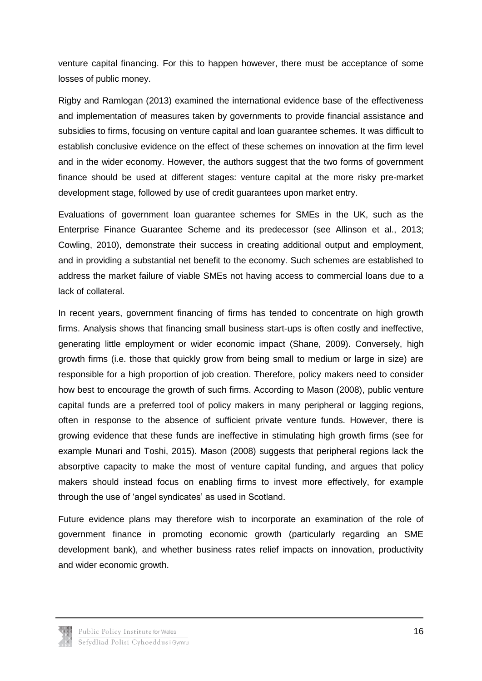venture capital financing. For this to happen however, there must be acceptance of some losses of public money.

Rigby and Ramlogan (2013) examined the international evidence base of the effectiveness and implementation of measures taken by governments to provide financial assistance and subsidies to firms, focusing on venture capital and loan guarantee schemes. It was difficult to establish conclusive evidence on the effect of these schemes on innovation at the firm level and in the wider economy. However, the authors suggest that the two forms of government finance should be used at different stages: venture capital at the more risky pre-market development stage, followed by use of credit guarantees upon market entry.

Evaluations of government loan guarantee schemes for SMEs in the UK, such as the Enterprise Finance Guarantee Scheme and its predecessor (see Allinson et al., 2013; Cowling, 2010), demonstrate their success in creating additional output and employment, and in providing a substantial net benefit to the economy. Such schemes are established to address the market failure of viable SMEs not having access to commercial loans due to a lack of collateral.

In recent years, government financing of firms has tended to concentrate on high growth firms. Analysis shows that financing small business start-ups is often costly and ineffective, generating little employment or wider economic impact (Shane, 2009). Conversely, high growth firms (i.e. those that quickly grow from being small to medium or large in size) are responsible for a high proportion of job creation. Therefore, policy makers need to consider how best to encourage the growth of such firms. According to Mason (2008), public venture capital funds are a preferred tool of policy makers in many peripheral or lagging regions, often in response to the absence of sufficient private venture funds. However, there is growing evidence that these funds are ineffective in stimulating high growth firms (see for example Munari and Toshi, 2015). Mason (2008) suggests that peripheral regions lack the absorptive capacity to make the most of venture capital funding, and argues that policy makers should instead focus on enabling firms to invest more effectively, for example through the use of 'angel syndicates' as used in Scotland.

Future evidence plans may therefore wish to incorporate an examination of the role of government finance in promoting economic growth (particularly regarding an SME development bank), and whether business rates relief impacts on innovation, productivity and wider economic growth.

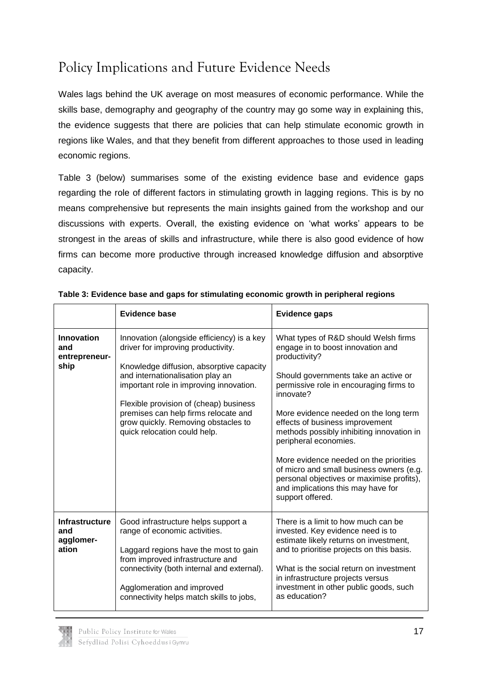## <span id="page-19-0"></span>Policy Implications and Future Evidence Needs

Wales lags behind the UK average on most measures of economic performance. While the skills base, demography and geography of the country may go some way in explaining this, the evidence suggests that there are policies that can help stimulate economic growth in regions like Wales, and that they benefit from different approaches to those used in leading economic regions.

Table 3 (below) summarises some of the existing evidence base and evidence gaps regarding the role of different factors in stimulating growth in lagging regions. This is by no means comprehensive but represents the main insights gained from the workshop and our discussions with experts. Overall, the existing evidence on 'what works' appears to be strongest in the areas of skills and infrastructure, while there is also good evidence of how firms can become more productive through increased knowledge diffusion and absorptive capacity.

|                                                    | Evidence base                                                                                                                                                                                                                                                                                                                                                        | <b>Evidence gaps</b>                                                                                                                                                                                                                                                                                                                                                                                                                                                                                                                      |
|----------------------------------------------------|----------------------------------------------------------------------------------------------------------------------------------------------------------------------------------------------------------------------------------------------------------------------------------------------------------------------------------------------------------------------|-------------------------------------------------------------------------------------------------------------------------------------------------------------------------------------------------------------------------------------------------------------------------------------------------------------------------------------------------------------------------------------------------------------------------------------------------------------------------------------------------------------------------------------------|
| Innovation<br>and<br>entrepreneur-<br>ship         | Innovation (alongside efficiency) is a key<br>driver for improving productivity.<br>Knowledge diffusion, absorptive capacity<br>and internationalisation play an<br>important role in improving innovation.<br>Flexible provision of (cheap) business<br>premises can help firms relocate and<br>grow quickly. Removing obstacles to<br>quick relocation could help. | What types of R&D should Welsh firms<br>engage in to boost innovation and<br>productivity?<br>Should governments take an active or<br>permissive role in encouraging firms to<br>innovate?<br>More evidence needed on the long term<br>effects of business improvement<br>methods possibly inhibiting innovation in<br>peripheral economies.<br>More evidence needed on the priorities<br>of micro and small business owners (e.g.<br>personal objectives or maximise profits),<br>and implications this may have for<br>support offered. |
| <b>Infrastructure</b><br>and<br>agglomer-<br>ation | Good infrastructure helps support a<br>range of economic activities.<br>Laggard regions have the most to gain<br>from improved infrastructure and<br>connectivity (both internal and external).<br>Agglomeration and improved<br>connectivity helps match skills to jobs,                                                                                            | There is a limit to how much can be<br>invested. Key evidence need is to<br>estimate likely returns on investment,<br>and to prioritise projects on this basis.<br>What is the social return on investment<br>in infrastructure projects versus<br>investment in other public goods, such<br>as education?                                                                                                                                                                                                                                |

#### **Table 3: Evidence base and gaps for stimulating economic growth in peripheral regions**

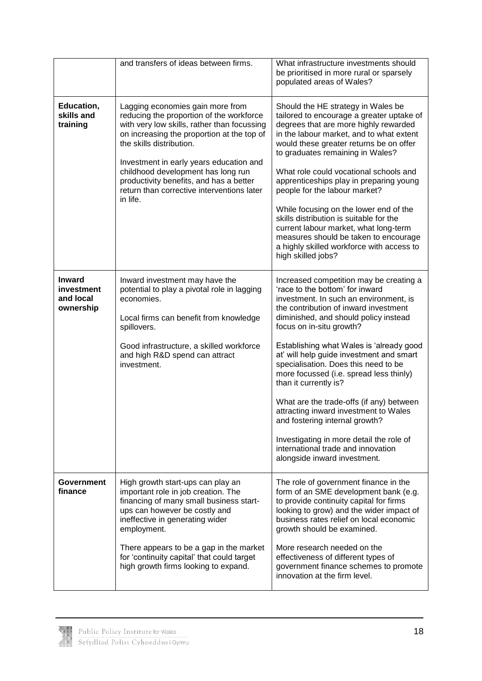|                                                       | and transfers of ideas between firms.                                                                                                                                                                                                                                                                                                                                                       | What infrastructure investments should<br>be prioritised in more rural or sparsely<br>populated areas of Wales?                                                                                                                                                                                                                                                                                                                                                                                                                                                                                                                                                                 |
|-------------------------------------------------------|---------------------------------------------------------------------------------------------------------------------------------------------------------------------------------------------------------------------------------------------------------------------------------------------------------------------------------------------------------------------------------------------|---------------------------------------------------------------------------------------------------------------------------------------------------------------------------------------------------------------------------------------------------------------------------------------------------------------------------------------------------------------------------------------------------------------------------------------------------------------------------------------------------------------------------------------------------------------------------------------------------------------------------------------------------------------------------------|
| Education,<br>skills and<br>training                  | Lagging economies gain more from<br>reducing the proportion of the workforce<br>with very low skills, rather than focussing<br>on increasing the proportion at the top of<br>the skills distribution.<br>Investment in early years education and<br>childhood development has long run<br>productivity benefits, and has a better<br>return than corrective interventions later<br>in life. | Should the HE strategy in Wales be<br>tailored to encourage a greater uptake of<br>degrees that are more highly rewarded<br>in the labour market, and to what extent<br>would these greater returns be on offer<br>to graduates remaining in Wales?<br>What role could vocational schools and<br>apprenticeships play in preparing young<br>people for the labour market?<br>While focusing on the lower end of the<br>skills distribution is suitable for the<br>current labour market, what long-term<br>measures should be taken to encourage<br>a highly skilled workforce with access to<br>high skilled jobs?                                                             |
| <b>Inward</b><br>investment<br>and local<br>ownership | Inward investment may have the<br>potential to play a pivotal role in lagging<br>economies.<br>Local firms can benefit from knowledge<br>spillovers.<br>Good infrastructure, a skilled workforce<br>and high R&D spend can attract<br>investment.                                                                                                                                           | Increased competition may be creating a<br>'race to the bottom' for inward<br>investment. In such an environment, is<br>the contribution of inward investment<br>diminished, and should policy instead<br>focus on in-situ growth?<br>Establishing what Wales is 'already good<br>at' will help guide investment and smart<br>specialisation. Does this need to be<br>more focussed (i.e. spread less thinly)<br>than it currently is?<br>What are the trade-offs (if any) between<br>attracting inward investment to Wales<br>and fostering internal growth?<br>Investigating in more detail the role of<br>international trade and innovation<br>alongside inward investment. |
| Government<br>finance                                 | High growth start-ups can play an<br>important role in job creation. The<br>financing of many small business start-<br>ups can however be costly and<br>ineffective in generating wider<br>employment.<br>There appears to be a gap in the market<br>for 'continuity capital' that could target<br>high growth firms looking to expand.                                                     | The role of government finance in the<br>form of an SME development bank (e.g.<br>to provide continuity capital for firms<br>looking to grow) and the wider impact of<br>business rates relief on local economic<br>growth should be examined.<br>More research needed on the<br>effectiveness of different types of<br>government finance schemes to promote<br>innovation at the firm level.                                                                                                                                                                                                                                                                                  |

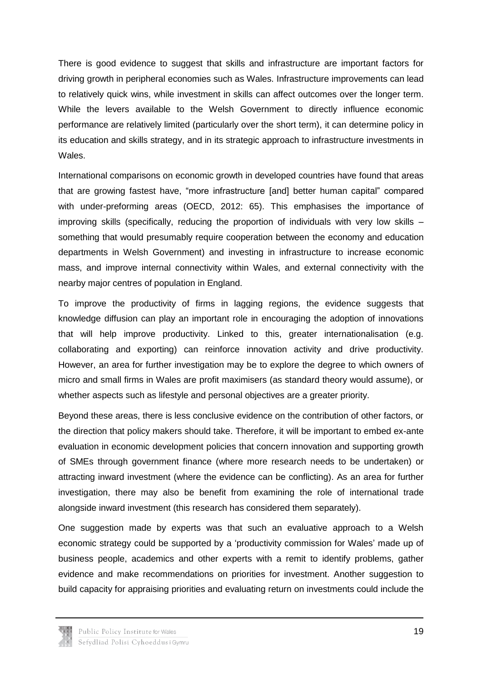There is good evidence to suggest that skills and infrastructure are important factors for driving growth in peripheral economies such as Wales. Infrastructure improvements can lead to relatively quick wins, while investment in skills can affect outcomes over the longer term. While the levers available to the Welsh Government to directly influence economic performance are relatively limited (particularly over the short term), it can determine policy in its education and skills strategy, and in its strategic approach to infrastructure investments in Wales.

International comparisons on economic growth in developed countries have found that areas that are growing fastest have, "more infrastructure [and] better human capital" compared with under-preforming areas (OECD, 2012: 65). This emphasises the importance of improving skills (specifically, reducing the proportion of individuals with very low skills – something that would presumably require cooperation between the economy and education departments in Welsh Government) and investing in infrastructure to increase economic mass, and improve internal connectivity within Wales, and external connectivity with the nearby major centres of population in England.

To improve the productivity of firms in lagging regions, the evidence suggests that knowledge diffusion can play an important role in encouraging the adoption of innovations that will help improve productivity. Linked to this, greater internationalisation (e.g. collaborating and exporting) can reinforce innovation activity and drive productivity. However, an area for further investigation may be to explore the degree to which owners of micro and small firms in Wales are profit maximisers (as standard theory would assume), or whether aspects such as lifestyle and personal objectives are a greater priority.

Beyond these areas, there is less conclusive evidence on the contribution of other factors, or the direction that policy makers should take. Therefore, it will be important to embed ex-ante evaluation in economic development policies that concern innovation and supporting growth of SMEs through government finance (where more research needs to be undertaken) or attracting inward investment (where the evidence can be conflicting). As an area for further investigation, there may also be benefit from examining the role of international trade alongside inward investment (this research has considered them separately).

One suggestion made by experts was that such an evaluative approach to a Welsh economic strategy could be supported by a 'productivity commission for Wales' made up of business people, academics and other experts with a remit to identify problems, gather evidence and make recommendations on priorities for investment. Another suggestion to build capacity for appraising priorities and evaluating return on investments could include the

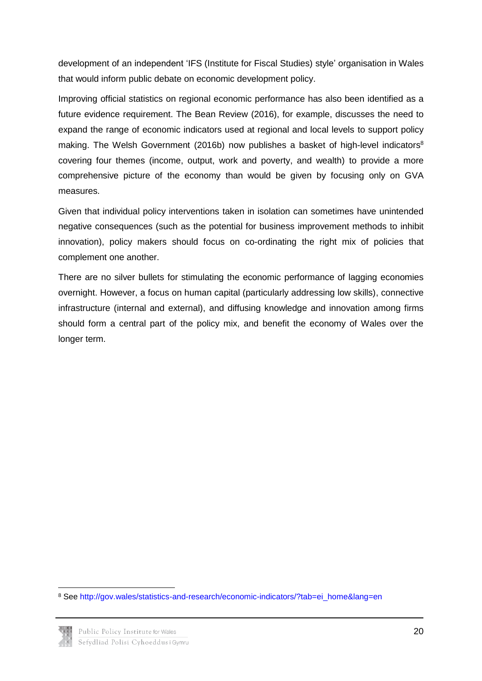development of an independent 'IFS (Institute for Fiscal Studies) style' organisation in Wales that would inform public debate on economic development policy.

Improving official statistics on regional economic performance has also been identified as a future evidence requirement. The Bean Review (2016), for example, discusses the need to expand the range of economic indicators used at regional and local levels to support policy making. The Welsh Government (2016b) now publishes a basket of high-level indicators<sup>8</sup> covering four themes (income, output, work and poverty, and wealth) to provide a more comprehensive picture of the economy than would be given by focusing only on GVA measures.

Given that individual policy interventions taken in isolation can sometimes have unintended negative consequences (such as the potential for business improvement methods to inhibit innovation), policy makers should focus on co-ordinating the right mix of policies that complement one another.

There are no silver bullets for stimulating the economic performance of lagging economies overnight. However, a focus on human capital (particularly addressing low skills), connective infrastructure (internal and external), and diffusing knowledge and innovation among firms should form a central part of the policy mix, and benefit the economy of Wales over the longer term.

<sup>8</sup> See [http://gov.wales/statistics-and-research/economic-indicators/?tab=ei\\_home&lang=en](http://gov.wales/statistics-and-research/economic-indicators/?tab=ei_home&lang=en)



**.**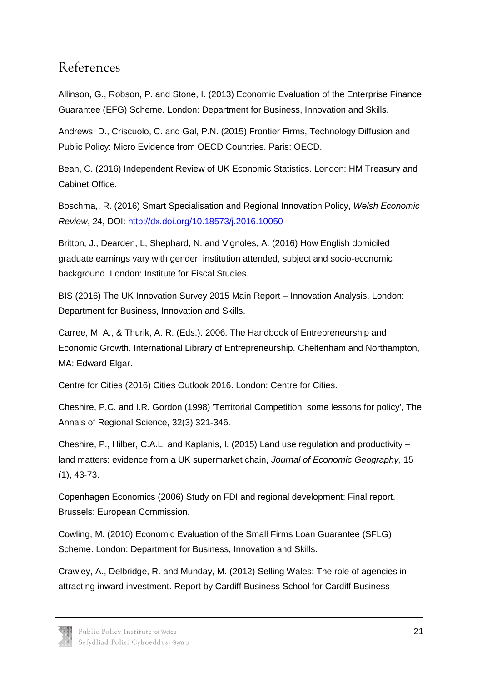### <span id="page-23-0"></span>References

Allinson, G., Robson, P. and Stone, I. (2013) Economic Evaluation of the Enterprise Finance Guarantee (EFG) Scheme. London: Department for Business, Innovation and Skills.

Andrews, D., Criscuolo, C. and Gal, P.N. (2015) Frontier Firms, Technology Diffusion and Public Policy: Micro Evidence from OECD Countries. Paris: OECD.

Bean, C. (2016) Independent Review of UK Economic Statistics. London: HM Treasury and Cabinet Office.

Boschma,, R. (2016) Smart Specialisation and Regional Innovation Policy, *Welsh Economic Review*, 24, DOI:<http://dx.doi.org/10.18573/j.2016.10050>

Britton, J., Dearden, L, Shephard, N. and Vignoles, A. (2016) How English domiciled graduate earnings vary with gender, institution attended, subject and socio-economic background. London: Institute for Fiscal Studies.

BIS (2016) The UK Innovation Survey 2015 Main Report – Innovation Analysis. London: Department for Business, Innovation and Skills.

Carree, M. A., & Thurik, A. R. (Eds.). 2006. The Handbook of Entrepreneurship and Economic Growth. International Library of Entrepreneurship. Cheltenham and Northampton, MA: Edward Elgar.

Centre for Cities (2016) Cities Outlook 2016. London: Centre for Cities.

Cheshire, P.C. and I.R. Gordon (1998) 'Territorial Competition: some lessons for policy', The Annals of Regional Science, 32(3) 321-346.

Cheshire, P., Hilber, C.A.L. and Kaplanis, I. (2015) Land use regulation and productivity – land matters: evidence from a UK supermarket chain, *Journal of Economic Geography,* 15 (1), 43-73.

Copenhagen Economics (2006) Study on FDI and regional development: Final report. Brussels: European Commission.

Cowling, M. (2010) Economic Evaluation of the Small Firms Loan Guarantee (SFLG) Scheme. London: Department for Business, Innovation and Skills.

Crawley, A., Delbridge, R. and Munday, M. (2012) Selling Wales: The role of agencies in attracting inward investment. Report by Cardiff Business School for Cardiff Business

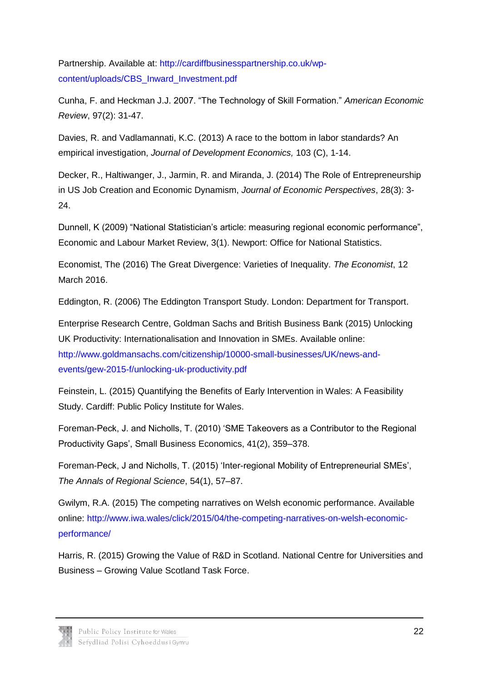Partnership. Available at: [http://cardiffbusinesspartnership.co.uk/wp](http://cardiffbusinesspartnership.co.uk/wp-content/uploads/CBS_Inward_Investment.pdf)[content/uploads/CBS\\_Inward\\_Investment.pdf](http://cardiffbusinesspartnership.co.uk/wp-content/uploads/CBS_Inward_Investment.pdf)

Cunha, F. and Heckman J.J. 2007. "The Technology of Skill Formation." *American Economic Review*, 97(2): 31-47.

Davies, R. and Vadlamannati, K.C. (2013) A race to the bottom in labor standards? An empirical investigation, *Journal of Development Economics,* 103 (C), 1-14.

Decker, R., Haltiwanger, J., Jarmin, R. and Miranda, J. (2014) The Role of Entrepreneurship in US Job Creation and Economic Dynamism, *Journal of Economic Perspectives*, 28(3): 3- 24.

Dunnell, K (2009) "National Statistician's article: measuring regional economic performance", Economic and Labour Market Review, 3(1). Newport: Office for National Statistics.

Economist, The (2016) The Great Divergence: Varieties of Inequality. *The Economist*, 12 March 2016.

Eddington, R. (2006) The Eddington Transport Study. London: Department for Transport.

Enterprise Research Centre, Goldman Sachs and British Business Bank (2015) Unlocking UK Productivity: Internationalisation and Innovation in SMEs. Available online: [http://www.goldmansachs.com/citizenship/10000-small-businesses/UK/news-and](http://www.goldmansachs.com/citizenship/10000-small-businesses/UK/news-and-events/gew-2015-f/unlocking-uk-productivity.pdf)[events/gew-2015-f/unlocking-uk-productivity.pdf](http://www.goldmansachs.com/citizenship/10000-small-businesses/UK/news-and-events/gew-2015-f/unlocking-uk-productivity.pdf)

Feinstein, L. (2015) Quantifying the Benefits of Early Intervention in Wales: A Feasibility Study. Cardiff: Public Policy Institute for Wales.

Foreman-Peck, J. and Nicholls, T. (2010) 'SME Takeovers as a Contributor to the Regional Productivity Gaps', Small Business Economics, 41(2), 359–378.

Foreman-Peck, J and Nicholls, T. (2015) 'Inter-regional Mobility of Entrepreneurial SMEs', *The Annals of Regional Science*, 54(1), 57–87.

Gwilym, R.A. (2015) The competing narratives on Welsh economic performance. Available online: [http://www.iwa.wales/click/2015/04/the-competing-narratives-on-welsh-economic](http://www.iwa.wales/click/2015/04/the-competing-narratives-on-welsh-economic-performance/)[performance/](http://www.iwa.wales/click/2015/04/the-competing-narratives-on-welsh-economic-performance/)

Harris, R. (2015) Growing the Value of R&D in Scotland. National Centre for Universities and Business – Growing Value Scotland Task Force.

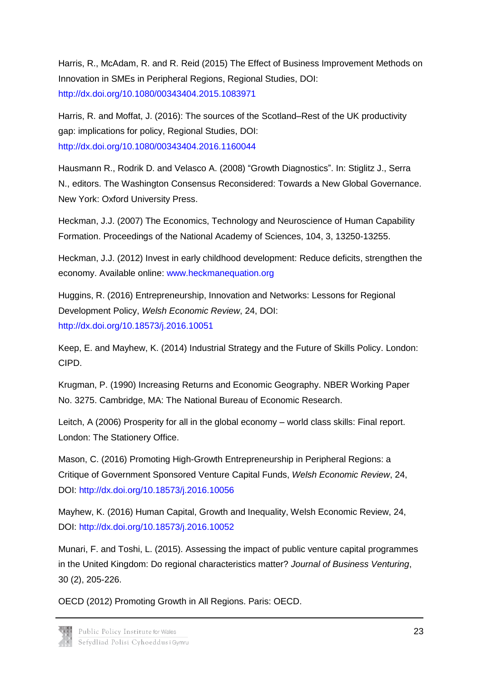Harris, R., McAdam, R. and R. Reid (2015) The Effect of Business Improvement Methods on Innovation in SMEs in Peripheral Regions, Regional Studies, DOI: <http://dx.doi.org/10.1080/00343404.2015.1083971>

Harris, R. and Moffat, J. (2016): The sources of the Scotland–Rest of the UK productivity gap: implications for policy, Regional Studies, DOI: <http://dx.doi.org/10.1080/00343404.2016.1160044>

Hausmann R., Rodrik D. and Velasco A. (2008) "Growth Diagnostics". In: Stiglitz J., Serra N., editors. The Washington Consensus Reconsidered: Towards a New Global Governance. New York: Oxford University Press.

Heckman, J.J. (2007) The Economics, Technology and Neuroscience of Human Capability Formation. Proceedings of the National Academy of Sciences, 104, 3, 13250-13255.

Heckman, J.J. (2012) Invest in early childhood development: Reduce deficits, strengthen the economy. Available online: [www.heckmanequation.org](http://www.heckmanequation.org/)

Huggins, R. (2016) Entrepreneurship, Innovation and Networks: Lessons for Regional Development Policy, *Welsh Economic Review*, 24, DOI: <http://dx.doi.org/10.18573/j.2016.10051>

Keep, E. and Mayhew, K. (2014) Industrial Strategy and the Future of Skills Policy. London: CIPD.

Krugman, P. (1990) Increasing Returns and Economic Geography. NBER Working Paper No. 3275. Cambridge, MA: The National Bureau of Economic Research.

Leitch, A (2006) Prosperity for all in the global economy – world class skills: Final report. London: The Stationery Office.

Mason, C. (2016) Promoting High-Growth Entrepreneurship in Peripheral Regions: a Critique of Government Sponsored Venture Capital Funds, *Welsh Economic Review*, 24, DOI:<http://dx.doi.org/10.18573/j.2016.10056>

Mayhew, K. (2016) Human Capital, Growth and Inequality, Welsh Economic Review, 24, DOI:<http://dx.doi.org/10.18573/j.2016.10052>

Munari, F. and Toshi, L. (2015). Assessing the impact of public venture capital programmes in the United Kingdom: Do regional characteristics matter? *Journal of Business Venturing*, 30 (2), 205-226.

OECD (2012) Promoting Growth in All Regions. Paris: OECD.

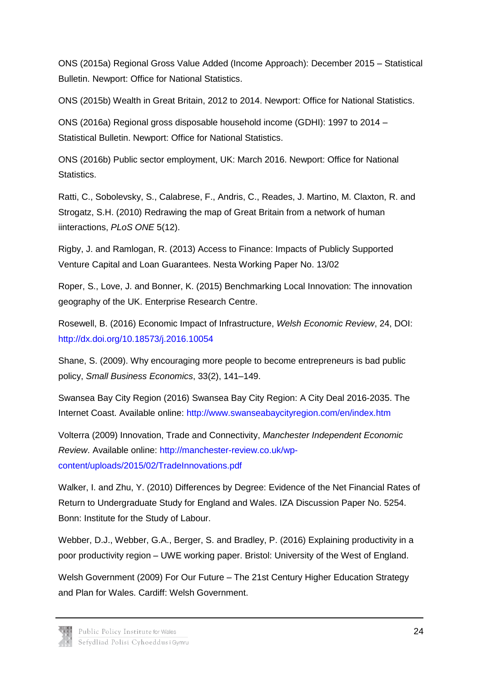ONS (2015a) Regional Gross Value Added (Income Approach): December 2015 – Statistical Bulletin. Newport: Office for National Statistics.

ONS (2015b) Wealth in Great Britain, 2012 to 2014. Newport: Office for National Statistics.

ONS (2016a) Regional gross disposable household income (GDHI): 1997 to 2014 – Statistical Bulletin. Newport: Office for National Statistics.

ONS (2016b) Public sector employment, UK: March 2016. Newport: Office for National Statistics.

Ratti, C., Sobolevsky, S., Calabrese, F., Andris, C., Reades, J. Martino, M. Claxton, R. and Strogatz, S.H. (2010) Redrawing the map of Great Britain from a network of human iinteractions, *PLoS ONE* 5(12).

Rigby, J. and Ramlogan, R. (2013) Access to Finance: Impacts of Publicly Supported Venture Capital and Loan Guarantees. Nesta Working Paper No. 13/02

Roper, S., Love, J. and Bonner, K. (2015) Benchmarking Local Innovation: The innovation geography of the UK. Enterprise Research Centre.

Rosewell, B. (2016) Economic Impact of Infrastructure, *Welsh Economic Review*, 24, DOI: <http://dx.doi.org/10.18573/j.2016.10054>

Shane, S. (2009). Why encouraging more people to become entrepreneurs is bad public policy, *Small Business Economics*, 33(2), 141–149.

Swansea Bay City Region (2016) Swansea Bay City Region: A City Deal 2016-2035. The Internet Coast. Available online:<http://www.swanseabaycityregion.com/en/index.htm>

Volterra (2009) Innovation, Trade and Connectivity, *Manchester Independent Economic Review*. Available online: [http://manchester-review.co.uk/wp](http://manchester-review.co.uk/wp-content/uploads/2015/02/TradeInnovations.pdf)[content/uploads/2015/02/TradeInnovations.pdf](http://manchester-review.co.uk/wp-content/uploads/2015/02/TradeInnovations.pdf)

Walker, I. and Zhu, Y. (2010) Differences by Degree: Evidence of the Net Financial Rates of Return to Undergraduate Study for England and Wales. IZA Discussion Paper No. 5254. Bonn: Institute for the Study of Labour.

Webber, D.J., Webber, G.A., Berger, S. and Bradley, P. (2016) Explaining productivity in a poor productivity region – UWE working paper. Bristol: University of the West of England.

Welsh Government (2009) For Our Future – The 21st Century Higher Education Strategy and Plan for Wales. Cardiff: Welsh Government.

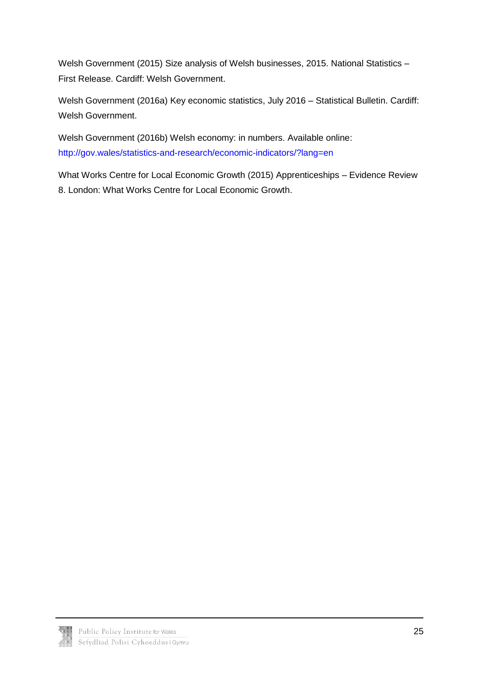Welsh Government (2015) Size analysis of Welsh businesses, 2015. National Statistics – First Release. Cardiff: Welsh Government.

Welsh Government (2016a) Key economic statistics, July 2016 – Statistical Bulletin. Cardiff: Welsh Government.

Welsh Government (2016b) Welsh economy: in numbers. Available online: <http://gov.wales/statistics-and-research/economic-indicators/?lang=en>

What Works Centre for Local Economic Growth (2015) Apprenticeships – Evidence Review 8. London: What Works Centre for Local Economic Growth.

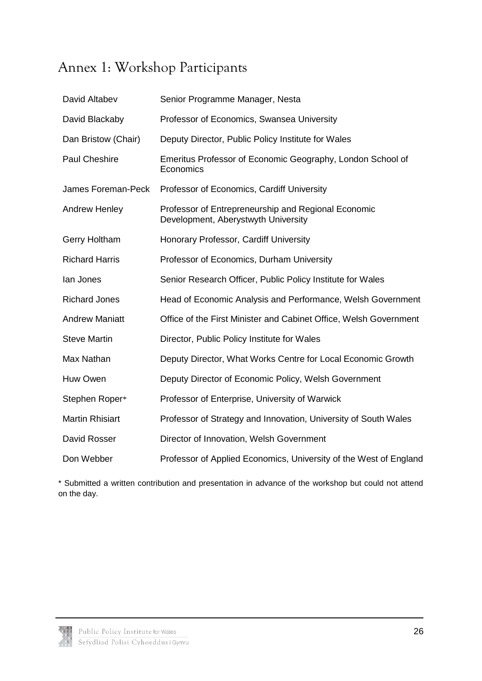## <span id="page-28-0"></span>Annex 1: Workshop Participants

| David Altabev          | Senior Programme Manager, Nesta                                                            |
|------------------------|--------------------------------------------------------------------------------------------|
| David Blackaby         | Professor of Economics, Swansea University                                                 |
| Dan Bristow (Chair)    | Deputy Director, Public Policy Institute for Wales                                         |
| Paul Cheshire          | Emeritus Professor of Economic Geography, London School of<br>Economics                    |
| James Foreman-Peck     | Professor of Economics, Cardiff University                                                 |
| Andrew Henley          | Professor of Entrepreneurship and Regional Economic<br>Development, Aberystwyth University |
| Gerry Holtham          | Honorary Professor, Cardiff University                                                     |
| <b>Richard Harris</b>  | Professor of Economics, Durham University                                                  |
| lan Jones              | Senior Research Officer, Public Policy Institute for Wales                                 |
| <b>Richard Jones</b>   | Head of Economic Analysis and Performance, Welsh Government                                |
| <b>Andrew Maniatt</b>  | Office of the First Minister and Cabinet Office, Welsh Government                          |
| <b>Steve Martin</b>    | Director, Public Policy Institute for Wales                                                |
| Max Nathan             | Deputy Director, What Works Centre for Local Economic Growth                               |
| Huw Owen               | Deputy Director of Economic Policy, Welsh Government                                       |
| Stephen Roper*         | Professor of Enterprise, University of Warwick                                             |
| <b>Martin Rhisiart</b> | Professor of Strategy and Innovation, University of South Wales                            |
| David Rosser           | Director of Innovation, Welsh Government                                                   |
| Don Webber             | Professor of Applied Economics, University of the West of England                          |

\* Submitted a written contribution and presentation in advance of the workshop but could not attend on the day.